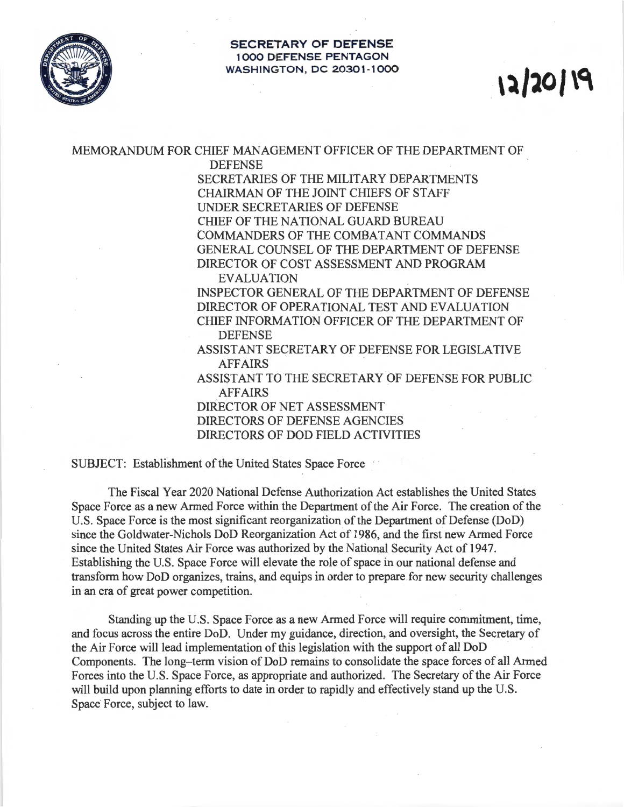

## **SECRETARY OF DEFENSE 1000 DEFENSE PENTAGON WASHINGTON, DC 20301-1000**

## **,~1101 \0.**

MEMORANDUM FOR CHIEF MANAGEMENT OFFICER OF THE DEPARTMENT OF

DEFENSE

SECRETARIES OF THE MILITARY DEPARTMENTS CHAIRMAN OF THE JOINT CHIEFS OF STAFF UNDER SECRETARIES OF DEFENSE CHIEF OF THE NATIONAL GUARD BUREAU COMMANDERS OF THE COMBATANT COMMANDS GENERAL COUNSEL OF THE DEPARTMENT OF DEFENSE DIRECTOR OF COST ASSESSMENT AND PROGRAM

## EVALUATION

INSPECTOR GENERAL OF THE DEPARTMENT OF DEFENSE DIRECTOR OF OPERATIONAL TEST AND EVALUATION CHIEF INFORMATION OFFICER OF THE DEPARTMENT OF DEFENSE

ASSISTANT SECRETARY OF DEFENSE FOR LEGISLATIVE AFFAIRS

ASSISTANT TO THE SECRETARY OF DEFENSE FOR PUBLIC AFFAIRS

DIRECTOR OF NET ASSESSMENT DIRECTORS OF DEFENSE AGENCIES DIRECTORS OF DOD FIELD ACTIVITIES

SUBJECT: Establishment of the United States Space Force

The Fiscal Year 2020 National Defense Authorization Act establishes the United States Space Force as a new Armed Force within the Department of the Air Force. The creation of the U.S. Space Force is the most significant reorganization of the Department of Defense (DoD) since the Goldwater-Nichols DoD Reorganization Act of 1986, and the first new Armed Force since the United States Air Force was authorized by the National Security Act of 1947. Establishing the U.S. Space Force will elevate the role of space in our national defense and transform how DoD organizes, trains, and equips in order to prepare for new security challenges in an era of great power competition.

Standing up the U.S. Space Force as a new Armed Force will require commitment, time, and focus across the entire DoD. Under my guidance, direction, and oversight, the Secretary of the Air Force will lead implementation of this legislation with the support of all DoD Components. The long-term vision of DoD remains to consolidate the space forces of all Armed Forces into the U.S. Space Force, as appropriate and authorized. The Secretary of the Air Force will build upon planning efforts to date in order to rapidly and effectively stand up the U.S. Space Force, subject to law.